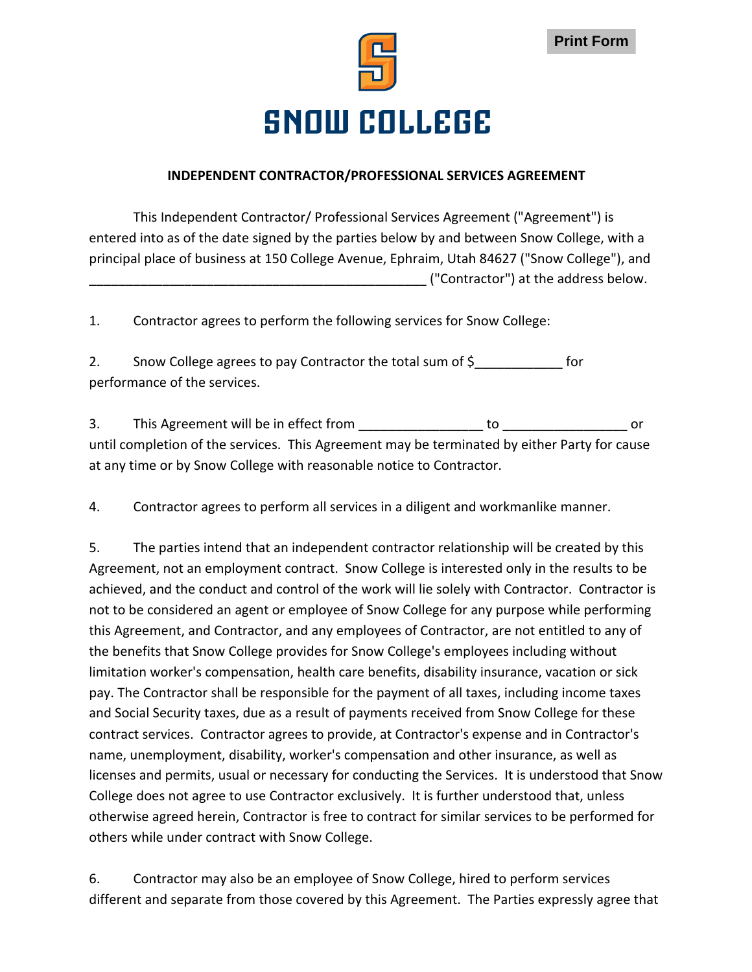



## **SNOW COLLEGE**

## **INDEPENDENT CONTRACTOR/PROFESSIONAL SERVICES AGREEMENT**

This Independent Contractor/ Professional Services Agreement ("Agreement") is entered into as of the date signed by the parties below by and between Snow College, with a principal place of business at 150 College Avenue, Ephraim, Utah 84627 ("Snow College"), and \_\_\_\_\_\_\_\_\_\_\_\_\_\_\_\_\_\_\_\_\_\_\_\_\_\_\_\_\_\_\_\_\_\_\_\_\_\_\_\_\_\_\_\_\_\_ ("Contractor") at the address below.

1. Contractor agrees to perform the following services for Snow College:

2. Snow College agrees to pay Contractor the total sum of  $\zeta$  for performance of the services.

3. This Agreement will be in effect from This and This Agreement will be in effect from until completion of the services. This Agreement may be terminated by either Party for cause at any time or by Snow College with reasonable notice to Contractor.

4. Contractor agrees to perform all services in a diligent and workmanlike manner.

5. The parties intend that an independent contractor relationship will be created by this Agreement, not an employment contract. Snow College is interested only in the results to be achieved, and the conduct and control of the work will lie solely with Contractor. Contractor is not to be considered an agent or employee of Snow College for any purpose while performing this Agreement, and Contractor, and any employees of Contractor, are not entitled to any of the benefits that Snow College provides for Snow College's employees including without limitation worker's compensation, health care benefits, disability insurance, vacation or sick pay. The Contractor shall be responsible for the payment of all taxes, including income taxes and Social Security taxes, due as a result of payments received from Snow College for these contract services. Contractor agrees to provide, at Contractor's expense and in Contractor's name, unemployment, disability, worker's compensation and other insurance, as well as licenses and permits, usual or necessary for conducting the Services. It is understood that Snow College does not agree to use Contractor exclusively. It is further understood that, unless otherwise agreed herein, Contractor is free to contract for similar services to be performed for others while under contract with Snow College.

6. Contractor may also be an employee of Snow College, hired to perform services different and separate from those covered by this Agreement. The Parties expressly agree that